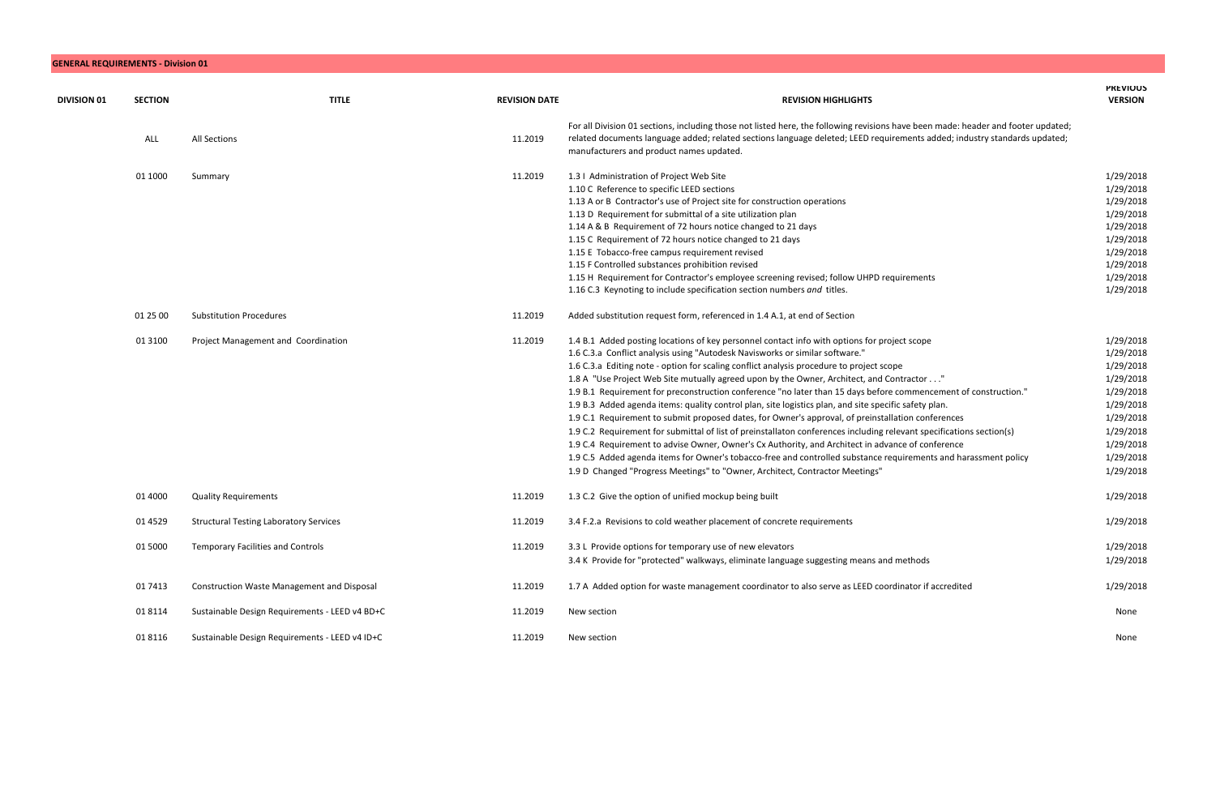## **GENERAL REQUIREMENTS - Division 01**

| <b>DIVISION 01</b> | <b>SECTION</b> | <b>TITLE</b>                                      | <b>REVISION DATE</b> | <b>REVISION HIGHLIGHTS</b>                                                                                                                                                                                                                                                                                                                                                                                                                                                                                                                                                                                                                                                                                                                                                                                                                                                                                                                                                                                                                                                                                                              | <b>PREVIOUS</b><br><b>VERSION</b>                                                                                                           |
|--------------------|----------------|---------------------------------------------------|----------------------|-----------------------------------------------------------------------------------------------------------------------------------------------------------------------------------------------------------------------------------------------------------------------------------------------------------------------------------------------------------------------------------------------------------------------------------------------------------------------------------------------------------------------------------------------------------------------------------------------------------------------------------------------------------------------------------------------------------------------------------------------------------------------------------------------------------------------------------------------------------------------------------------------------------------------------------------------------------------------------------------------------------------------------------------------------------------------------------------------------------------------------------------|---------------------------------------------------------------------------------------------------------------------------------------------|
|                    | ALL            | <b>All Sections</b>                               | 11.2019              | For all Division 01 sections, including those not listed here, the following revisions have been made: header and footer updated;<br>related documents language added; related sections language deleted; LEED requirements added; industry standards updated;<br>manufacturers and product names updated.                                                                                                                                                                                                                                                                                                                                                                                                                                                                                                                                                                                                                                                                                                                                                                                                                              |                                                                                                                                             |
|                    | 01 1000        | Summary                                           | 11.2019              | 1.3   Administration of Project Web Site<br>1.10 C Reference to specific LEED sections<br>1.13 A or B Contractor's use of Project site for construction operations<br>1.13 D Requirement for submittal of a site utilization plan<br>1.14 A & B Requirement of 72 hours notice changed to 21 days<br>1.15 C Requirement of 72 hours notice changed to 21 days<br>1.15 E Tobacco-free campus requirement revised<br>1.15 F Controlled substances prohibition revised<br>1.15 H Requirement for Contractor's employee screening revised; follow UHPD requirements<br>1.16 C.3 Keynoting to include specification section numbers and titles.                                                                                                                                                                                                                                                                                                                                                                                                                                                                                              | 1/29/2018<br>1/29/2018<br>1/29/2018<br>1/29/2018<br>1/29/2018<br>1/29/2018<br>1/29/2018<br>1/29/2018<br>1/29/2018<br>1/29/2018              |
|                    | 01 25 00       | <b>Substitution Procedures</b>                    | 11.2019              | Added substitution request form, referenced in 1.4 A.1, at end of Section                                                                                                                                                                                                                                                                                                                                                                                                                                                                                                                                                                                                                                                                                                                                                                                                                                                                                                                                                                                                                                                               |                                                                                                                                             |
|                    | 01 3100        | Project Management and Coordination               | 11.2019              | 1.4 B.1 Added posting locations of key personnel contact info with options for project scope<br>1.6 C.3.a Conflict analysis using "Autodesk Navisworks or similar software."<br>1.6 C.3.a Editing note - option for scaling conflict analysis procedure to project scope<br>1.8 A "Use Project Web Site mutually agreed upon by the Owner, Architect, and Contractor"<br>1.9 B.1 Requirement for preconstruction conference "no later than 15 days before commencement of construction."<br>1.9 B.3 Added agenda items: quality control plan, site logistics plan, and site specific safety plan.<br>1.9 C.1 Requirement to submit proposed dates, for Owner's approval, of preinstallation conferences<br>1.9 C.2 Requirement for submittal of list of preinstallaton conferences including relevant specifications section(s)<br>1.9 C.4 Requirement to advise Owner, Owner's Cx Authority, and Architect in advance of conference<br>1.9 C.5 Added agenda items for Owner's tobacco-free and controlled substance requirements and harassment policy<br>1.9 D Changed "Progress Meetings" to "Owner, Architect, Contractor Meetings" | 1/29/2018<br>1/29/2018<br>1/29/2018<br>1/29/2018<br>1/29/2018<br>1/29/2018<br>1/29/2018<br>1/29/2018<br>1/29/2018<br>1/29/2018<br>1/29/2018 |
|                    | 01 4000        | <b>Quality Requirements</b>                       | 11.2019              | 1.3 C.2 Give the option of unified mockup being built                                                                                                                                                                                                                                                                                                                                                                                                                                                                                                                                                                                                                                                                                                                                                                                                                                                                                                                                                                                                                                                                                   | 1/29/2018                                                                                                                                   |
|                    | 01 45 29       | <b>Structural Testing Laboratory Services</b>     | 11.2019              | 3.4 F.2.a Revisions to cold weather placement of concrete requirements                                                                                                                                                                                                                                                                                                                                                                                                                                                                                                                                                                                                                                                                                                                                                                                                                                                                                                                                                                                                                                                                  | 1/29/2018                                                                                                                                   |
|                    | 01 5000        | <b>Temporary Facilities and Controls</b>          | 11.2019              | 3.3 L Provide options for temporary use of new elevators<br>3.4 K Provide for "protected" walkways, eliminate language suggesting means and methods                                                                                                                                                                                                                                                                                                                                                                                                                                                                                                                                                                                                                                                                                                                                                                                                                                                                                                                                                                                     | 1/29/2018<br>1/29/2018                                                                                                                      |
|                    | 01 74 13       | <b>Construction Waste Management and Disposal</b> | 11.2019              | 1.7 A Added option for waste management coordinator to also serve as LEED coordinator if accredited                                                                                                                                                                                                                                                                                                                                                                                                                                                                                                                                                                                                                                                                                                                                                                                                                                                                                                                                                                                                                                     | 1/29/2018                                                                                                                                   |
|                    | 01 8114        | Sustainable Design Requirements - LEED v4 BD+C    | 11.2019              | New section                                                                                                                                                                                                                                                                                                                                                                                                                                                                                                                                                                                                                                                                                                                                                                                                                                                                                                                                                                                                                                                                                                                             | None                                                                                                                                        |
|                    | 01 8116        | Sustainable Design Requirements - LEED v4 ID+C    | 11.2019              | New section                                                                                                                                                                                                                                                                                                                                                                                                                                                                                                                                                                                                                                                                                                                                                                                                                                                                                                                                                                                                                                                                                                                             | None                                                                                                                                        |